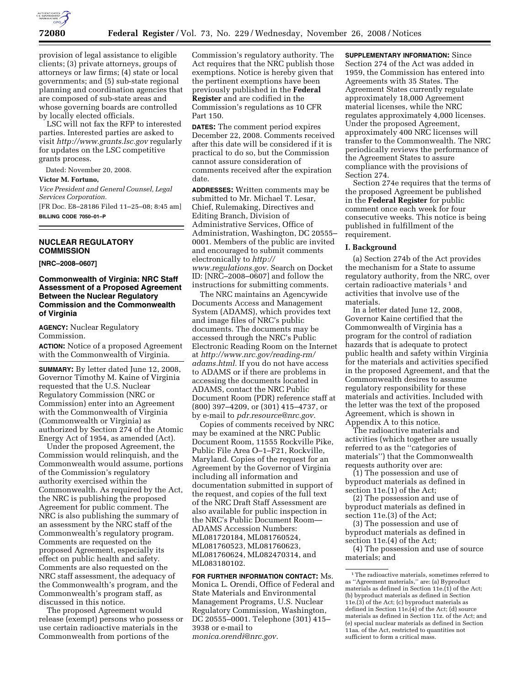

provision of legal assistance to eligible clients; (3) private attorneys, groups of attorneys or law firms; (4) state or local governments; and (5) sub-state regional planning and coordination agencies that are composed of sub-state areas and whose governing boards are controlled by locally elected officials.

LSC will not fax the RFP to interested parties. Interested parties are asked to visit *http://www.grants.lsc.gov* regularly for updates on the LSC competitive grants process.

Dated: November 20, 2008.

**Victor M. Fortuno,** 

*Vice President and General Counsel, Legal Services Corporation.* 

[FR Doc. E8–28186 Filed 11–25–08; 8:45 am] **BILLING CODE 7050–01–P** 

# **NUCLEAR REGULATORY COMMISSION**

**[NRC–2008–0607]** 

# **Commonwealth of Virginia: NRC Staff Assessment of a Proposed Agreement Between the Nuclear Regulatory Commission and the Commonwealth of Virginia**

**AGENCY:** Nuclear Regulatory Commission.

**ACTION:** Notice of a proposed Agreement with the Commonwealth of Virginia.

**SUMMARY:** By letter dated June 12, 2008, Governor Timothy M. Kaine of Virginia requested that the U.S. Nuclear Regulatory Commission (NRC or Commission) enter into an Agreement with the Commonwealth of Virginia (Commonwealth or Virginia) as authorized by Section 274 of the Atomic Energy Act of 1954, as amended (Act).

Under the proposed Agreement, the Commission would relinquish, and the Commonwealth would assume, portions of the Commission's regulatory authority exercised within the Commonwealth. As required by the Act, the NRC is publishing the proposed Agreement for public comment. The NRC is also publishing the summary of an assessment by the NRC staff of the Commonwealth's regulatory program. Comments are requested on the proposed Agreement, especially its effect on public health and safety. Comments are also requested on the NRC staff assessment, the adequacy of the Commonwealth's program, and the Commonwealth's program staff, as discussed in this notice.

The proposed Agreement would release (exempt) persons who possess or use certain radioactive materials in the Commonwealth from portions of the

Commission's regulatory authority. The Act requires that the NRC publish those exemptions. Notice is hereby given that the pertinent exemptions have been previously published in the **Federal Register** and are codified in the Commission's regulations as 10 CFR Part 150.

**DATES:** The comment period expires December 22, 2008. Comments received after this date will be considered if it is practical to do so, but the Commission cannot assure consideration of comments received after the expiration date.

**ADDRESSES:** Written comments may be submitted to Mr. Michael T. Lesar, Chief, Rulemaking, Directives and Editing Branch, Division of Administrative Services, Office of Administration, Washington, DC 20555– 0001. Members of the public are invited and encouraged to submit comments electronically to *http:// www.regulations.gov.* Search on Docket ID: [NRC–2008–0607] and follow the instructions for submitting comments.

The NRC maintains an Agencywide Documents Access and Management System (ADAMS), which provides text and image files of NRC's public documents. The documents may be accessed through the NRC's Public Electronic Reading Room on the Internet at *http://www.nrc.gov/reading-rm/ adams.html.* If you do not have access to ADAMS or if there are problems in accessing the documents located in ADAMS, contact the NRC Public Document Room (PDR) reference staff at (800) 397–4209, or (301) 415–4737, or by e-mail to *pdr.resource@nrc.gov.* 

Copies of comments received by NRC may be examined at the NRC Public Document Room, 11555 Rockville Pike, Public File Area O–1–F21, Rockville, Maryland. Copies of the request for an Agreement by the Governor of Virginia including all information and documentation submitted in support of the request, and copies of the full text of the NRC Draft Staff Assessment are also available for public inspection in the NRC's Public Document Room— ADAMS Accession Numbers: ML081720184, ML081760524, ML081760523, ML081760623, ML081760624, ML082470314, and ML083180102.

**FOR FURTHER INFORMATION CONTACT:** Ms. Monica L. Orendi, Office of Federal and State Materials and Environmental Management Programs, U.S. Nuclear Regulatory Commission, Washington, DC 20555–0001. Telephone (301) 415– 3938 or e-mail to *monica.orendi@nrc.gov.* 

**SUPPLEMENTARY INFORMATION:** Since Section 274 of the Act was added in 1959, the Commission has entered into Agreements with 35 States. The Agreement States currently regulate approximately 18,000 Agreement material licenses, while the NRC regulates approximately 4,000 licenses. Under the proposed Agreement, approximately 400 NRC licenses will transfer to the Commonwealth. The NRC periodically reviews the performance of the Agreement States to assure compliance with the provisions of Section 274.

Section 274e requires that the terms of the proposed Agreement be published in the **Federal Register** for public comment once each week for four consecutive weeks. This notice is being published in fulfillment of the requirement.

### **I. Background**

(a) Section 274b of the Act provides the mechanism for a State to assume regulatory authority, from the NRC, over certain radioactive materials<sup>1</sup> and activities that involve use of the materials.

In a letter dated June 12, 2008, Governor Kaine certified that the Commonwealth of Virginia has a program for the control of radiation hazards that is adequate to protect public health and safety within Virginia for the materials and activities specified in the proposed Agreement, and that the Commonwealth desires to assume regulatory responsibility for these materials and activities. Included with the letter was the text of the proposed Agreement, which is shown in Appendix A to this notice.

The radioactive materials and activities (which together are usually referred to as the ''categories of materials'') that the Commonwealth requests authority over are:

(1) The possession and use of byproduct materials as defined in section 11e.(1) of the Act;

(2) The possession and use of byproduct materials as defined in section 11e.(3) of the Act;

(3) The possession and use of byproduct materials as defined in section 11e.(4) of the Act;

(4) The possession and use of source materials; and

<sup>1</sup>The radioactive materials, sometimes referred to as ''Agreement materials,'' are: (a) Byproduct materials as defined in Section 11e. $(1)$  of the Act; (b) byproduct materials as defined in Section 11e.(3) of the Act; (c) byproduct materials as defined in Section 11e.(4) of the Act; (d) source materials as defined in Section 11z. of the Act; and (e) special nuclear materials as defined in Section 11aa. of the Act, restricted to quantities not sufficient to form a critical mass.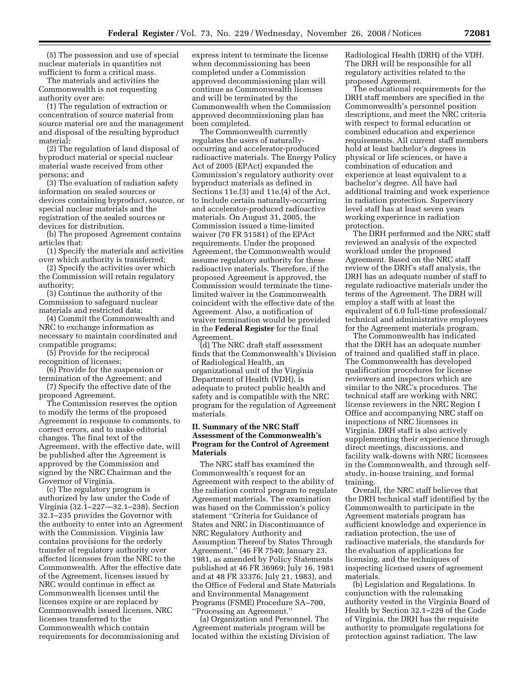(5) The possession and use of special nuclear materials in quantities not sufficient to form a critical mass.

The materials and activities the Commonwealth is not requesting authority over are:

(1) The regulation of extraction or concentration of source material from source material ore and the management and disposal of the resulting byproduct material;

(2) The regulation of land disposal of byproduct material or special nuclear material waste received from other persons; and

(3) The evaluation of radiation safety information on sealed sources or devices containing byproduct, source, or special nuclear materials and the registration of the sealed sources or devices for distribution.

(b) The proposed Agreement contains articles that:

(1) Specify the materials and activities over which authority is transferred;

(2) Specify the activities over which the Commission will retain regulatory authority;

(3) Continue the authority of the Commission to safeguard nuclear materials and restricted data;

(4) Commit the Commonwealth and NRC to exchange information as necessary to maintain coordinated and compatible programs;

(5) Provide for the reciprocal recognition of licenses;

(6) Provide for the suspension or termination of the Agreement; and

(7) Specify the effective date of the proposed Agreement.

The Commission reserves the option to modify the terms of the proposed Agreement in response to comments, to correct errors, and to make editorial changes. The final text of the Agreement, with the effective date, will be published after the Agreement is approved by the Commission and signed by the NRC Chairman and the Governor of Virginia.

(c) The regulatory program is authorized by law under the Code of Virginia (32.1–227—32.1–238). Section 32.1–235 provides the Governor with the authority to enter into an Agreement with the Commission. Virginia law contains provisions for the orderly transfer of regulatory authority over affected licensees from the NRC to the Commonwealth. After the effective date of the Agreement, licenses issued by NRC would continue in effect as Commonwealth licenses until the licenses expire or are replaced by Commonwealth issued licenses. NRC licenses transferred to the Commonwealth which contain requirements for decommissioning and

express intent to terminate the license when decommissioning has been completed under a Commission approved decommissioning plan will continue as Commonwealth licenses and will be terminated by the Commonwealth when the Commission approved decommissioning plan has been completed.

The Commonwealth currently regulates the users of naturallyoccurring and accelerator-produced radioactive materials. The Energy Policy Act of 2005 (EPAct) expanded the Commission's regulatory authority over byproduct materials as defined in Sections 11e.(3) and 11e.(4) of the Act, to include certain naturally-occurring and accelerator-produced radioactive materials. On August 31, 2005, the Commission issued a time-limited waiver (70 FR 51581) of the EPAct requirements. Under the proposed Agreement, the Commonwealth would assume regulatory authority for these radioactive materials. Therefore, if the proposed Agreement is approved, the Commission would terminate the timelimited waiver in the Commonwealth coincident with the effective date of the Agreement. Also, a notification of waiver termination would be provided in the **Federal Register** for the final Agreement.

(d) The NRC draft staff assessment finds that the Commonwealth's Division of Radiological Health, an organizational unit of the Virginia Department of Health (VDH), is adequate to protect public health and safety and is compatible with the NRC program for the regulation of Agreement materials.

# **II. Summary of the NRC Staff Assessment of the Commonwealth's Program for the Control of Agreement Materials**

The NRC staff has examined the Commonwealth's request for an Agreement with respect to the ability of the radiation control program to regulate Agreement materials. The examination was based on the Commission's policy statement ''Criteria for Guidance of States and NRC in Discontinuance of NRC Regulatory Authority and Assumption Thereof by States Through Agreement,'' (46 FR 7540; January 23, 1981, as amended by Policy Statements published at 46 FR 36969; July 16, 1981 and at 48 FR 33376; July 21, 1983), and the Office of Federal and State Materials and Environmental Management Programs (FSME) Procedure SA–700, ''Processing an Agreement.''

(a) Organization and Personnel. The Agreement materials program will be located within the existing Division of Radiological Health (DRH) of the VDH. The DRH will be responsible for all regulatory activities related to the proposed Agreement.

The educational requirements for the DRH staff members are specified in the Commonwealth's personnel position descriptions, and meet the NRC criteria with respect to formal education or combined education and experience requirements. All current staff members hold at least bachelor's degrees in physical or life sciences, or have a combination of education and experience at least equivalent to a bachelor's degree. All have had additional training and work experience in radiation protection. Supervisory level staff has at least seven years working experience in radiation protection.

The DRH performed and the NRC staff reviewed an analysis of the expected workload under the proposed Agreement. Based on the NRC staff review of the DRH's staff analysis, the DRH has an adequate number of staff to regulate radioactive materials under the terms of the Agreement. The DRH will employ a staff with at least the equivalent of 6.0 full-time professional/ technical and administrative employees for the Agreement materials program.

The Commonwealth has indicated that the DRH has an adequate number of trained and qualified staff in place. The Commonwealth has developed qualification procedures for license reviewers and inspectors which are similar to the NRC's procedures. The technical staff are working with NRC license reviewers in the NRC Region I Office and accompanying NRC staff on inspections of NRC licensees in Virginia. DRH staff is also actively supplementing their experience through direct meetings, discussions, and facility walk-downs with NRC licensees in the Commonwealth, and through selfstudy, in-house training, and formal training.

Overall, the NRC staff believes that the DRH technical staff identified by the Commonwealth to participate in the Agreement materials program has sufficient knowledge and experience in radiation protection, the use of radioactive materials, the standards for the evaluation of applications for licensing, and the techniques of inspecting licensed users of agreement materials.

(b) Legislation and Regulations. In conjunction with the rulemaking authority vested in the Virginia Board of Health by Section 32.1–229 of the Code of Virginia, the DRH has the requisite authority to promulgate regulations for protection against radiation. The law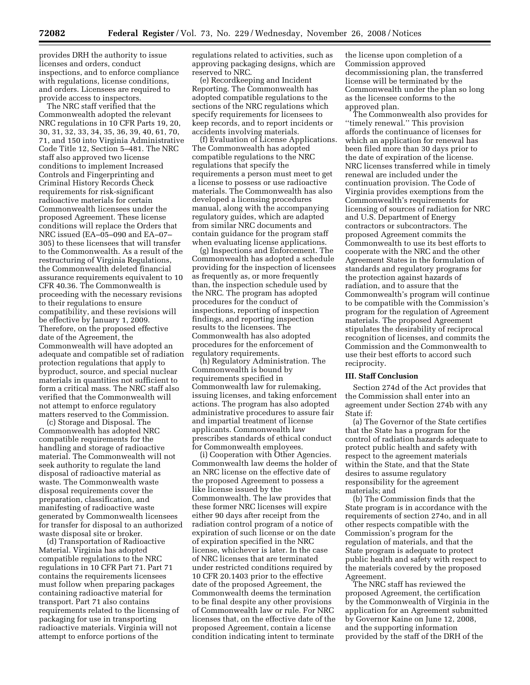provides DRH the authority to issue licenses and orders, conduct inspections, and to enforce compliance with regulations, license conditions, and orders. Licensees are required to provide access to inspectors.

The NRC staff verified that the Commonwealth adopted the relevant NRC regulations in 10 CFR Parts 19, 20, 30, 31, 32, 33, 34, 35, 36, 39, 40, 61, 70, 71, and 150 into Virginia Administrative Code Title 12, Section 5–481. The NRC staff also approved two license conditions to implement Increased Controls and Fingerprinting and Criminal History Records Check requirements for risk-significant radioactive materials for certain Commonwealth licensees under the proposed Agreement. These license conditions will replace the Orders that NRC issued (EA–05–090 and EA–07– 305) to these licensees that will transfer to the Commonwealth. As a result of the restructuring of Virginia Regulations, the Commonwealth deleted financial assurance requirements equivalent to 10 CFR 40.36. The Commonwealth is proceeding with the necessary revisions to their regulations to ensure compatibility, and these revisions will be effective by January 1, 2009. Therefore, on the proposed effective date of the Agreement, the Commonwealth will have adopted an adequate and compatible set of radiation protection regulations that apply to byproduct, source, and special nuclear materials in quantities not sufficient to form a critical mass. The NRC staff also verified that the Commonwealth will not attempt to enforce regulatory matters reserved to the Commission.

(c) Storage and Disposal. The Commonwealth has adopted NRC compatible requirements for the handling and storage of radioactive material. The Commonwealth will not seek authority to regulate the land disposal of radioactive material as waste. The Commonwealth waste disposal requirements cover the preparation, classification, and manifesting of radioactive waste generated by Commonwealth licensees for transfer for disposal to an authorized waste disposal site or broker.

(d) Transportation of Radioactive Material. Virginia has adopted compatible regulations to the NRC regulations in 10 CFR Part 71. Part 71 contains the requirements licensees must follow when preparing packages containing radioactive material for transport. Part 71 also contains requirements related to the licensing of packaging for use in transporting radioactive materials. Virginia will not attempt to enforce portions of the

regulations related to activities, such as approving packaging designs, which are reserved to NRC.

(e) Recordkeeping and Incident Reporting. The Commonwealth has adopted compatible regulations to the sections of the NRC regulations which specify requirements for licensees to keep records, and to report incidents or accidents involving materials.

(f) Evaluation of License Applications. The Commonwealth has adopted compatible regulations to the NRC regulations that specify the requirements a person must meet to get a license to possess or use radioactive materials. The Commonwealth has also developed a licensing procedures manual, along with the accompanying regulatory guides, which are adapted from similar NRC documents and contain guidance for the program staff when evaluating license applications.

(g) Inspections and Enforcement. The Commonwealth has adopted a schedule providing for the inspection of licensees as frequently as, or more frequently than, the inspection schedule used by the NRC. The program has adopted procedures for the conduct of inspections, reporting of inspection findings, and reporting inspection results to the licensees. The Commonwealth has also adopted procedures for the enforcement of regulatory requirements.

(h) Regulatory Administration. The Commonwealth is bound by requirements specified in Commonwealth law for rulemaking, issuing licenses, and taking enforcement actions. The program has also adopted administrative procedures to assure fair and impartial treatment of license applicants. Commonwealth law prescribes standards of ethical conduct for Commonwealth employees.

(i) Cooperation with Other Agencies. Commonwealth law deems the holder of an NRC license on the effective date of the proposed Agreement to possess a like license issued by the Commonwealth. The law provides that these former NRC licenses will expire either 90 days after receipt from the radiation control program of a notice of expiration of such license or on the date of expiration specified in the NRC license, whichever is later. In the case of NRC licenses that are terminated under restricted conditions required by 10 CFR 20.1403 prior to the effective date of the proposed Agreement, the Commonwealth deems the termination to be final despite any other provisions of Commonwealth law or rule. For NRC licenses that, on the effective date of the proposed Agreement, contain a license condition indicating intent to terminate

the license upon completion of a Commission approved decommissioning plan, the transferred license will be terminated by the Commonwealth under the plan so long as the licensee conforms to the approved plan.

The Commonwealth also provides for ''timely renewal.'' This provision affords the continuance of licenses for which an application for renewal has been filed more than 30 days prior to the date of expiration of the license. NRC licenses transferred while in timely renewal are included under the continuation provision. The Code of Virginia provides exemptions from the Commonwealth's requirements for licensing of sources of radiation for NRC and U.S. Department of Energy contractors or subcontractors. The proposed Agreement commits the Commonwealth to use its best efforts to cooperate with the NRC and the other Agreement States in the formulation of standards and regulatory programs for the protection against hazards of radiation, and to assure that the Commonwealth's program will continue to be compatible with the Commission's program for the regulation of Agreement materials. The proposed Agreement stipulates the desirability of reciprocal recognition of licenses, and commits the Commission and the Commonwealth to use their best efforts to accord such reciprocity.

## **III. Staff Conclusion**

Section 274d of the Act provides that the Commission shall enter into an agreement under Section 274b with any State if:

(a) The Governor of the State certifies that the State has a program for the control of radiation hazards adequate to protect public health and safety with respect to the agreement materials within the State, and that the State desires to assume regulatory responsibility for the agreement materials; and

(b) The Commission finds that the State program is in accordance with the requirements of section 274o, and in all other respects compatible with the Commission's program for the regulation of materials, and that the State program is adequate to protect public health and safety with respect to the materials covered by the proposed Agreement.

The NRC staff has reviewed the proposed Agreement, the certification by the Commonwealth of Virginia in the application for an Agreement submitted by Governor Kaine on June 12, 2008, and the supporting information provided by the staff of the DRH of the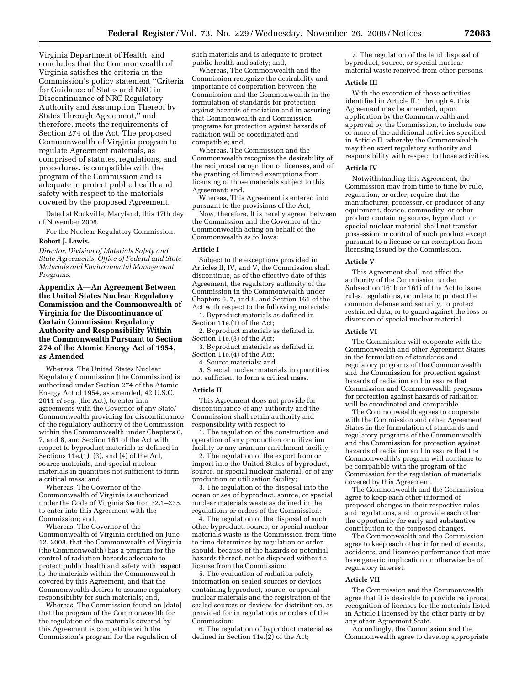Virginia Department of Health, and concludes that the Commonwealth of Virginia satisfies the criteria in the Commission's policy statement ''Criteria for Guidance of States and NRC in Discontinuance of NRC Regulatory Authority and Assumption Thereof by States Through Agreement,'' and therefore, meets the requirements of Section 274 of the Act. The proposed Commonwealth of Virginia program to regulate Agreement materials, as comprised of statutes, regulations, and procedures, is compatible with the program of the Commission and is adequate to protect public health and safety with respect to the materials covered by the proposed Agreement.

Dated at Rockville, Maryland, this 17th day of November 2008.

For the Nuclear Regulatory Commission.

# **Robert J. Lewis,**

*Director, Division of Materials Safety and State Agreements, Office of Federal and State Materials and Environmental Management Programs.* 

**Appendix A—An Agreement Between the United States Nuclear Regulatory Commission and the Commonwealth of Virginia for the Discontinuance of Certain Commission Regulatory Authority and Responsibility Within the Commonwealth Pursuant to Section 274 of the Atomic Energy Act of 1954, as Amended** 

Whereas, The United States Nuclear Regulatory Commission (the Commission) is authorized under Section 274 of the Atomic Energy Act of 1954, as amended, 42 U.S.C. 2011 *et seq.* (the Act), to enter into agreements with the Governor of any State/ Commonwealth providing for discontinuance of the regulatory authority of the Commission within the Commonwealth under Chapters 6, 7, and 8, and Section 161 of the Act with respect to byproduct materials as defined in Sections 11e.(1), (3), and (4) of the Act, source materials, and special nuclear materials in quantities not sufficient to form a critical mass; and,

Whereas, The Governor of the Commonwealth of Virginia is authorized under the Code of Virginia Section 32.1–235, to enter into this Agreement with the Commission; and,

Whereas, The Governor of the Commonwealth of Virginia certified on June 12, 2008, that the Commonwealth of Virginia (the Commonwealth) has a program for the control of radiation hazards adequate to protect public health and safety with respect to the materials within the Commonwealth covered by this Agreement, and that the Commonwealth desires to assume regulatory responsibility for such materials; and,

Whereas, The Commission found on [date] that the program of the Commonwealth for the regulation of the materials covered by this Agreement is compatible with the Commission's program for the regulation of

such materials and is adequate to protect public health and safety; and,

Whereas, The Commonwealth and the Commission recognize the desirability and importance of cooperation between the Commission and the Commonwealth in the formulation of standards for protection against hazards of radiation and in assuring that Commonwealth and Commission programs for protection against hazards of radiation will be coordinated and compatible; and,

Whereas, The Commission and the Commonwealth recognize the desirability of the reciprocal recognition of licenses, and of the granting of limited exemptions from licensing of those materials subject to this Agreement; and,

Whereas, This Agreement is entered into pursuant to the provisions of the Act;

Now, therefore, It is hereby agreed between the Commission and the Governor of the Commonwealth acting on behalf of the Commonwealth as follows:

## **Article I**

Subject to the exceptions provided in Articles II, IV, and V, the Commission shall discontinue, as of the effective date of this Agreement, the regulatory authority of the Commission in the Commonwealth under Chapters 6, 7, and 8, and Section 161 of the Act with respect to the following materials:

1. Byproduct materials as defined in Section 11e.(1) of the Act;

2. Byproduct materials as defined in Section 11e.(3) of the Act;

3. Byproduct materials as defined in Section 11e.(4) of the Act;

4. Source materials; and

5. Special nuclear materials in quantities not sufficient to form a critical mass.

#### **Article II**

This Agreement does not provide for discontinuance of any authority and the Commission shall retain authority and responsibility with respect to:

1. The regulation of the construction and operation of any production or utilization facility or any uranium enrichment facility;

2. The regulation of the export from or import into the United States of byproduct, source, or special nuclear material, or of any production or utilization facility;

3. The regulation of the disposal into the ocean or sea of byproduct, source, or special nuclear materials waste as defined in the regulations or orders of the Commission;

4. The regulation of the disposal of such other byproduct, source, or special nuclear materials waste as the Commission from time to time determines by regulation or order should, because of the hazards or potential hazards thereof, not be disposed without a license from the Commission;

5. The evaluation of radiation safety information on sealed sources or devices containing byproduct, source, or special nuclear materials and the registration of the sealed sources or devices for distribution, as provided for in regulations or orders of the Commission;

6. The regulation of byproduct material as defined in Section 11e.(2) of the Act;

7. The regulation of the land disposal of byproduct, source, or special nuclear material waste received from other persons.

#### **Article III**

With the exception of those activities identified in Article II.1 through 4, this Agreement may be amended, upon application by the Commonwealth and approval by the Commission, to include one or more of the additional activities specified in Article II, whereby the Commonwealth may then exert regulatory authority and responsibility with respect to those activities.

#### **Article IV**

Notwithstanding this Agreement, the Commission may from time to time by rule, regulation, or order, require that the manufacturer, processor, or producer of any equipment, device, commodity, or other product containing source, byproduct, or special nuclear material shall not transfer possession or control of such product except pursuant to a license or an exemption from licensing issued by the Commission.

#### **Article V**

This Agreement shall not affect the authority of the Commission under Subsection 161b or 161i of the Act to issue rules, regulations, or orders to protect the common defense and security, to protect restricted data, or to guard against the loss or diversion of special nuclear material.

## **Article VI**

The Commission will cooperate with the Commonwealth and other Agreement States in the formulation of standards and regulatory programs of the Commonwealth and the Commission for protection against hazards of radiation and to assure that Commission and Commonwealth programs for protection against hazards of radiation will be coordinated and compatible.

The Commonwealth agrees to cooperate with the Commission and other Agreement States in the formulation of standards and regulatory programs of the Commonwealth and the Commission for protection against hazards of radiation and to assure that the Commonwealth's program will continue to be compatible with the program of the Commission for the regulation of materials covered by this Agreement.

The Commonwealth and the Commission agree to keep each other informed of proposed changes in their respective rules and regulations, and to provide each other the opportunity for early and substantive contribution to the proposed changes.

The Commonwealth and the Commission agree to keep each other informed of events, accidents, and licensee performance that may have generic implication or otherwise be of regulatory interest.

#### **Article VII**

The Commission and the Commonwealth agree that it is desirable to provide reciprocal recognition of licenses for the materials listed in Article I licensed by the other party or by any other Agreement State.

Accordingly, the Commission and the Commonwealth agree to develop appropriate